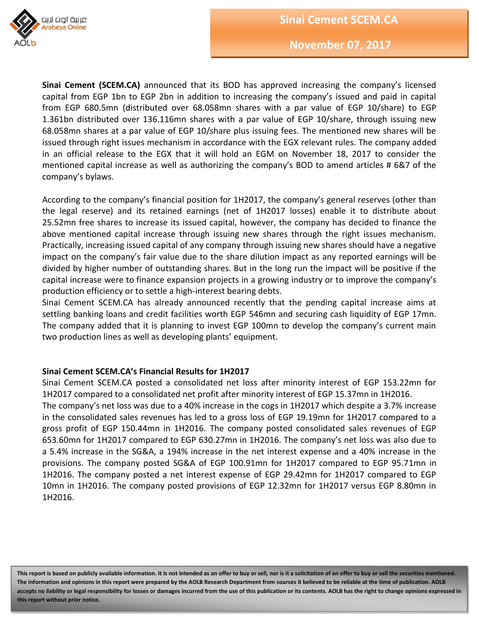

**Sinai Cement (SCEM.CA)** announced that its BOD has approved increasing the company's licensed capital from EGP 1bn to EGP 2bn in addition to increasing the company's issued and paid in capital from EGP 680.5mn (distributed over 68.058mn shares with a par value of EGP 10/share) to EGP 1.361bn distributed over 136.116mn shares with a par value of EGP 10/share, through issuing new 68.058mn shares at a par value of EGP 10/share plus issuing fees. The mentioned new shares will be issued through right issues mechanism in accordance with the EGX relevant rules. The company added in an official release to the EGX that it will hold an EGM on November 18, 2017 to consider the mentioned capital increase as well as authorizing the company's BOD to amend articles # 6&7 of the company's bylaws.

According to the company's financial position for 1H2017, the company's general reserves (other than the legal reserve) and its retained earnings (net of 1H2017 losses) enable it to distribute about 25.52mn free shares to increase its issued capital, however, the company has decided to finance the above mentioned capital increase through issuing new shares through the right issues mechanism. Practically, increasing issued capital of any company through issuing new shares should have a negative impact on the company's fair value due to the share dilution impact as any reported earnings will be divided by higher number of outstanding shares. But in the long run the impact will be positive if the capital increase were to finance expansion projects in a growing industry or to improve the company's production efficiency or to settle a high-interest bearing debts.

Sinai Cement SCEM.CA has already announced recently that the pending capital increase aims at settling banking loans and credit facilities worth EGP 546mn and securing cash liquidity of EGP 17mn. The company added that it is planning to invest EGP 100mn to develop the company's current main two production lines as well as developing plants' equipment.

# **Sinai Cement SCEM.CA's Financial Results for 1H2017**

Sinai Cement SCEM.CA posted a consolidated net loss after minority interest of EGP 153.22mn for 1H2017 compared to a consolidated net profit after minority interest of EGP 15.37mn in 1H2016.

The company's net loss was due to a 40% increase in the cogs in 1H2017 which despite a 3.7% increase in the consolidated sales revenues has led to a gross loss of EGP 19.19mn for 1H2017 compared to a gross profit of EGP 150.44mn in 1H2016. The company posted consolidated sales revenues of EGP 653.60mn for 1H2017 compared to EGP 630.27mn in 1H2016. The company's net loss was also due to a 5.4% increase in the SG&A, a 194% increase in the net interest expense and a 40% increase in the provisions. The company posted SG&A of EGP 100.91mn for 1H2017 compared to EGP 95.71mn in 1H2016. The company posted a net interest expense of EGP 29.42mn for 1H2017 compared to EGP 10mn in 1H2016. The company posted provisions of EGP 12.32mn for 1H2017 versus EGP 8.80mn in 1H2016.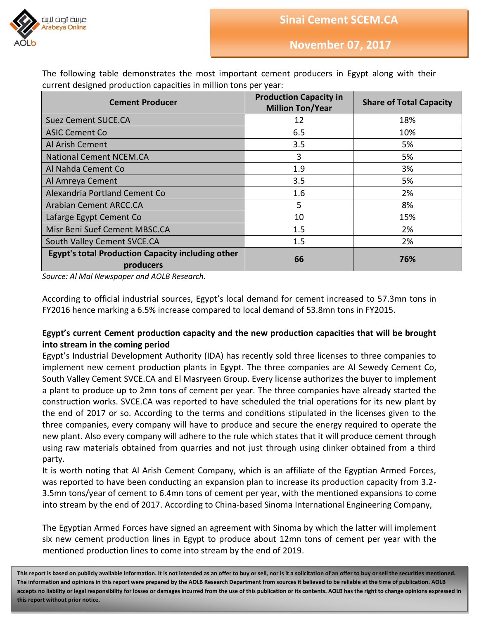



| <b>Cement Producer</b>                                                | <b>Production Capacity in</b><br><b>Million Ton/Year</b> | <b>Share of Total Capacity</b> |
|-----------------------------------------------------------------------|----------------------------------------------------------|--------------------------------|
| <b>Suez Cement SUCE.CA</b>                                            | 12                                                       | 18%                            |
| <b>ASIC Cement Co</b>                                                 | 6.5                                                      | 10%                            |
| Al Arish Cement                                                       | 3.5                                                      | 5%                             |
| <b>National Cement NCEM.CA</b>                                        | 3                                                        | 5%                             |
| Al Nahda Cement Co                                                    | 1.9                                                      | 3%                             |
| Al Amreya Cement                                                      | 3.5                                                      | 5%                             |
| Alexandria Portland Cement Co                                         | 1.6                                                      | 2%                             |
| <b>Arabian Cement ARCC.CA</b>                                         | 5                                                        | 8%                             |
| Lafarge Egypt Cement Co                                               | 10                                                       | 15%                            |
| Misr Beni Suef Cement MBSC.CA                                         | 1.5                                                      | 2%                             |
| South Valley Cement SVCE.CA                                           | 1.5                                                      | 2%                             |
| <b>Egypt's total Production Capacity including other</b><br>producers | 66                                                       | 76%                            |

The following table demonstrates the most important cement producers in Egypt along with their current designed production capacities in million tons per year:

*Source: Al Mal Newspaper and AOLB Research.* 

According to official industrial sources, Egypt's local demand for cement increased to 57.3mn tons in FY2016 hence marking a 6.5% increase compared to local demand of 53.8mn tons in FY2015.

# **Egypt's current Cement production capacity and the new production capacities that will be brought into stream in the coming period**

Egypt's Industrial Development Authority (IDA) has recently sold three licenses to three companies to implement new cement production plants in Egypt. The three companies are Al Sewedy Cement Co, South Valley Cement SVCE.CA and El Masryeen Group. Every license authorizes the buyer to implement a plant to produce up to 2mn tons of cement per year. The three companies have already started the construction works. SVCE.CA was reported to have scheduled the trial operations for its new plant by the end of 2017 or so. According to the terms and conditions stipulated in the licenses given to the three companies, every company will have to produce and secure the energy required to operate the new plant. Also every company will adhere to the rule which states that it will produce cement through using raw materials obtained from quarries and not just through using clinker obtained from a third party.

It is worth noting that Al Arish Cement Company, which is an affiliate of the Egyptian Armed Forces, was reported to have been conducting an expansion plan to increase its production capacity from 3.2- 3.5mn tons/year of cement to 6.4mn tons of cement per year, with the mentioned expansions to come into stream by the end of 2017. According to China-based Sinoma International Engineering Company,

The Egyptian Armed Forces have signed an agreement with Sinoma by which the latter will implement six new cement production lines in Egypt to produce about 12mn tons of cement per year with the mentioned production lines to come into stream by the end of 2019.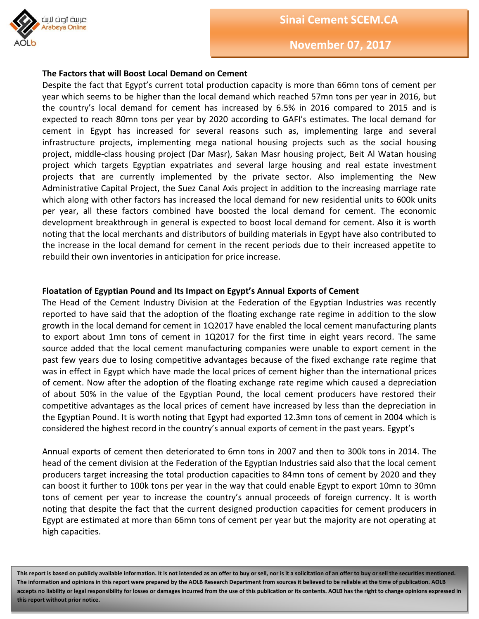

#### **The Factors that will Boost Local Demand on Cement**

Despite the fact that Egypt's current total production capacity is more than 66mn tons of cement per year which seems to be higher than the local demand which reached 57mn tons per year in 2016, but the country's local demand for cement has increased by 6.5% in 2016 compared to 2015 and is expected to reach 80mn tons per year by 2020 according to GAFI's estimates. The local demand for cement in Egypt has increased for several reasons such as, implementing large and several infrastructure projects, implementing mega national housing projects such as the social housing project, middle-class housing project (Dar Masr), Sakan Masr housing project, Beit Al Watan housing project which targets Egyptian expatriates and several large housing and real estate investment projects that are currently implemented by the private sector. Also implementing the New Administrative Capital Project, the Suez Canal Axis project in addition to the increasing marriage rate which along with other factors has increased the local demand for new residential units to 600k units per year, all these factors combined have boosted the local demand for cement. The economic development breakthrough in general is expected to boost local demand for cement. Also it is worth noting that the local merchants and distributors of building materials in Egypt have also contributed to the increase in the local demand for cement in the recent periods due to their increased appetite to rebuild their own inventories in anticipation for price increase.

#### **Floatation of Egyptian Pound and Its Impact on Egypt's Annual Exports of Cement**

The Head of the Cement Industry Division at the Federation of the Egyptian Industries was recently reported to have said that the adoption of the floating exchange rate regime in addition to the slow growth in the local demand for cement in 1Q2017 have enabled the local cement manufacturing plants to export about 1mn tons of cement in 1Q2017 for the first time in eight years record. The same source added that the local cement manufacturing companies were unable to export cement in the past few years due to losing competitive advantages because of the fixed exchange rate regime that was in effect in Egypt which have made the local prices of cement higher than the international prices of cement. Now after the adoption of the floating exchange rate regime which caused a depreciation of about 50% in the value of the Egyptian Pound, the local cement producers have restored their competitive advantages as the local prices of cement have increased by less than the depreciation in the Egyptian Pound. It is worth noting that Egypt had exported 12.3mn tons of cement in 2004 which is considered the highest record in the country's annual exports of cement in the past years. Egypt's

Annual exports of cement then deteriorated to 6mn tons in 2007 and then to 300k tons in 2014. The head of the cement division at the Federation of the Egyptian Industries said also that the local cement producers target increasing the total production capacities to 84mn tons of cement by 2020 and they can boost it further to 100k tons per year in the way that could enable Egypt to export 10mn to 30mn tons of cement per year to increase the country's annual proceeds of foreign currency. It is worth noting that despite the fact that the current designed production capacities for cement producers in Egypt are estimated at more than 66mn tons of cement per year but the majority are not operating at high capacities.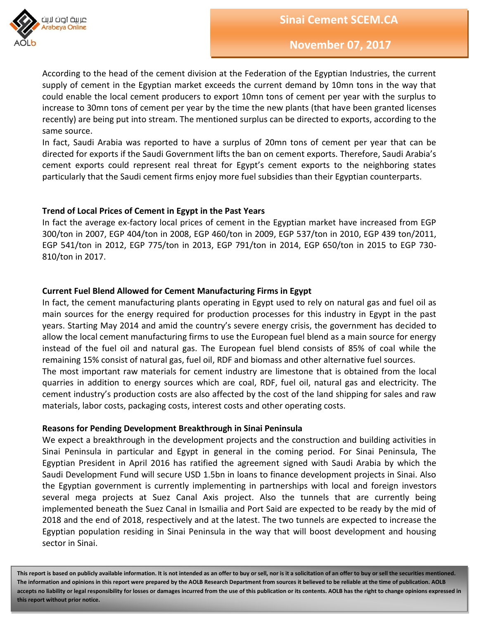



According to the head of the cement division at the Federation of the Egyptian Industries, the current supply of cement in the Egyptian market exceeds the current demand by 10mn tons in the way that could enable the local cement producers to export 10mn tons of cement per year with the surplus to increase to 30mn tons of cement per year by the time the new plants (that have been granted licenses recently) are being put into stream. The mentioned surplus can be directed to exports, according to the same source.

In fact, Saudi Arabia was reported to have a surplus of 20mn tons of cement per year that can be directed for exports if the Saudi Government lifts the ban on cement exports. Therefore, Saudi Arabia's cement exports could represent real threat for Egypt's cement exports to the neighboring states particularly that the Saudi cement firms enjoy more fuel subsidies than their Egyptian counterparts.

# **Trend of Local Prices of Cement in Egypt in the Past Years**

In fact the average ex-factory local prices of cement in the Egyptian market have increased from EGP 300/ton in 2007, EGP 404/ton in 2008, EGP 460/ton in 2009, EGP 537/ton in 2010, EGP 439 ton/2011, EGP 541/ton in 2012, EGP 775/ton in 2013, EGP 791/ton in 2014, EGP 650/ton in 2015 to EGP 730- 810/ton in 2017.

#### **Current Fuel Blend Allowed for Cement Manufacturing Firms in Egypt**

In fact, the cement manufacturing plants operating in Egypt used to rely on natural gas and fuel oil as main sources for the energy required for production processes for this industry in Egypt in the past years. Starting May 2014 and amid the country's severe energy crisis, the government has decided to allow the local cement manufacturing firms to use the European fuel blend as a main source for energy instead of the fuel oil and natural gas. The European fuel blend consists of 85% of coal while the remaining 15% consist of natural gas, fuel oil, RDF and biomass and other alternative fuel sources. The most important raw materials for cement industry are limestone that is obtained from the local quarries in addition to energy sources which are coal, RDF, fuel oil, natural gas and electricity. The cement industry's production costs are also affected by the cost of the land shipping for sales and raw materials, labor costs, packaging costs, interest costs and other operating costs.

#### **Reasons for Pending Development Breakthrough in Sinai Peninsula**

We expect a breakthrough in the development projects and the construction and building activities in Sinai Peninsula in particular and Egypt in general in the coming period. For Sinai Peninsula, The Egyptian President in April 2016 has ratified the agreement signed with Saudi Arabia by which the Saudi Development Fund will secure USD 1.5bn in loans to finance development projects in Sinai. Also the Egyptian government is currently implementing in partnerships with local and foreign investors several mega projects at Suez Canal Axis project. Also the tunnels that are currently being implemented beneath the Suez Canal in Ismailia and Port Said are expected to be ready by the mid of 2018 and the end of 2018, respectively and at the latest. The two tunnels are expected to increase the Egyptian population residing in Sinai Peninsula in the way that will boost development and housing sector in Sinai.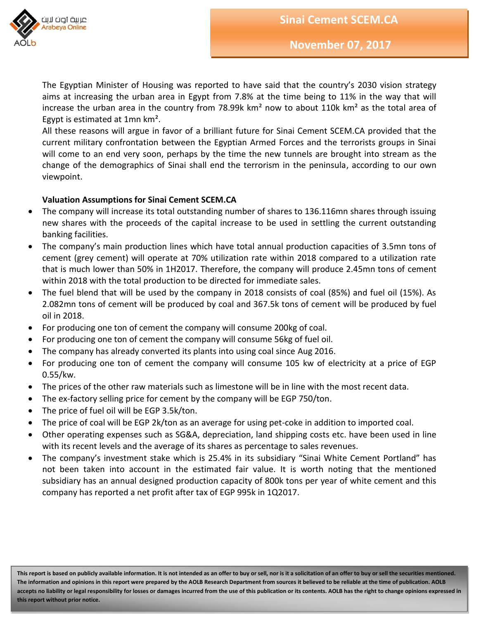

**Sinai Cement SCEM.CA**

**November 07, 2017**

The Egyptian Minister of Housing was reported to have said that the country's 2030 vision strategy aims at increasing the urban area in Egypt from 7.8% at the time being to 11% in the way that will increase the urban area in the country from 78.99k  $km^2$  now to about 110k  $km^2$  as the total area of Egypt is estimated at 1mn km².

All these reasons will argue in favor of a brilliant future for Sinai Cement SCEM.CA provided that the current military confrontation between the Egyptian Armed Forces and the terrorists groups in Sinai will come to an end very soon, perhaps by the time the new tunnels are brought into stream as the change of the demographics of Sinai shall end the terrorism in the peninsula, according to our own viewpoint.

# **Valuation Assumptions for Sinai Cement SCEM.CA**

- The company will increase its total outstanding number of shares to 136.116mn shares through issuing new shares with the proceeds of the capital increase to be used in settling the current outstanding banking facilities.
- The company's main production lines which have total annual production capacities of 3.5mn tons of cement (grey cement) will operate at 70% utilization rate within 2018 compared to a utilization rate that is much lower than 50% in 1H2017. Therefore, the company will produce 2.45mn tons of cement within 2018 with the total production to be directed for immediate sales.
- The fuel blend that will be used by the company in 2018 consists of coal (85%) and fuel oil (15%). As 2.082mn tons of cement will be produced by coal and 367.5k tons of cement will be produced by fuel oil in 2018.
- For producing one ton of cement the company will consume 200kg of coal.
- For producing one ton of cement the company will consume 56kg of fuel oil.
- The company has already converted its plants into using coal since Aug 2016.
- For producing one ton of cement the company will consume 105 kw of electricity at a price of EGP 0.55/kw.
- The prices of the other raw materials such as limestone will be in line with the most recent data.
- The ex-factory selling price for cement by the company will be EGP 750/ton.
- The price of fuel oil will be EGP 3.5k/ton.
- The price of coal will be EGP 2k/ton as an average for using pet-coke in addition to imported coal.
- Other operating expenses such as SG&A, depreciation, land shipping costs etc. have been used in line with its recent levels and the average of its shares as percentage to sales revenues.
- The company's investment stake which is 25.4% in its subsidiary "Sinai White Cement Portland" has not been taken into account in the estimated fair value. It is worth noting that the mentioned subsidiary has an annual designed production capacity of 800k tons per year of white cement and this company has reported a net profit after tax of EGP 995k in 1Q2017.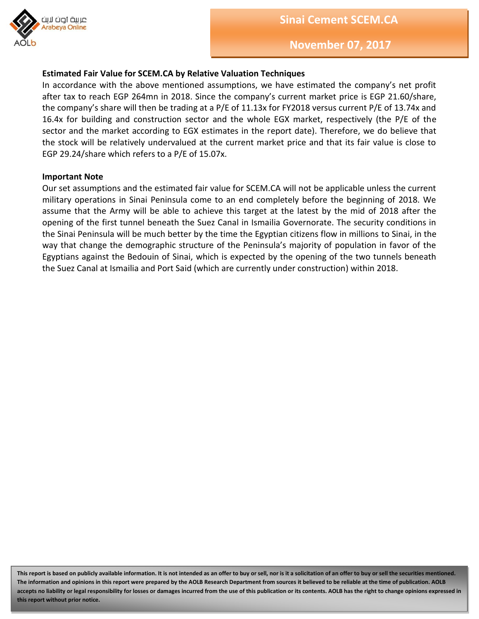

# **Estimated Fair Value for SCEM.CA by Relative Valuation Techniques**

In accordance with the above mentioned assumptions, we have estimated the company's net profit after tax to reach EGP 264mn in 2018. Since the company's current market price is EGP 21.60/share, the company's share will then be trading at a P/E of 11.13x for FY2018 versus current P/E of 13.74x and 16.4x for building and construction sector and the whole EGX market, respectively (the P/E of the sector and the market according to EGX estimates in the report date). Therefore, we do believe that the stock will be relatively undervalued at the current market price and that its fair value is close to EGP 29.24/share which refers to a P/E of 15.07x.

#### **Important Note**

Our set assumptions and the estimated fair value for SCEM.CA will not be applicable unless the current military operations in Sinai Peninsula come to an end completely before the beginning of 2018. We assume that the Army will be able to achieve this target at the latest by the mid of 2018 after the opening of the first tunnel beneath the Suez Canal in Ismailia Governorate. The security conditions in the Sinai Peninsula will be much better by the time the Egyptian citizens flow in millions to Sinai, in the way that change the demographic structure of the Peninsula's majority of population in favor of the Egyptians against the Bedouin of Sinai, which is expected by the opening of the two tunnels beneath the Suez Canal at Ismailia and Port Said (which are currently under construction) within 2018.